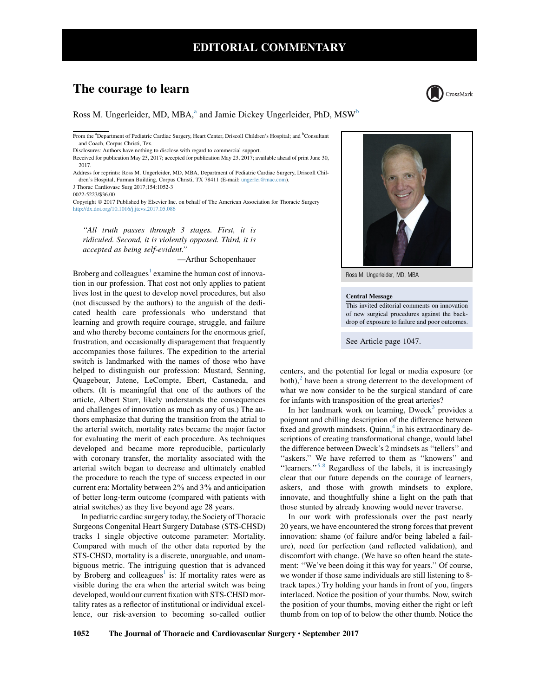# EDITORIAL COMMENTARY

# The courage to learn

Ross M. Ungerleider, MD, MBA, $^{\text{a}}$  and Jamie Dickey Ungerleider, PhD, MSW<sup>b</sup>

From the <sup>a</sup>Department of Pediatric Cardiac Surgery, Heart Center, Driscoll Children's Hospital; and <sup>b</sup>Consultant and Coach, Corpus Christi, Tex.

Received for publication May 23, 2017; accepted for publication May 23, 2017; available ahead of print June 30, 2017.

Address for reprints: Ross M. Ungerleider, MD, MBA, Department of Pediatric Cardiac Surgery, Driscoll Children's Hospital, Furman Building, Corpus Christi, TX 78411 (E-mail: [ungerlei@mac.com](mailto:ungerlei@mac.com)).

J Thorac Cardiovasc Surg 2017;154:1052-3

0022-5223/\$36.00

Copyright  $@ 2017$  Published by Elsevier Inc. on behalf of The American Association for Thoracic Surgery <http://dx.doi.org/10.1016/j.jtcvs.2017.05.086>

''All truth passes through 3 stages. First, it is ridiculed. Second, it is violently opposed. Third, it is accepted as being self-evident.''

### —Arthur Schopenhauer

Broberg and colleagues $\pm$  examine the human cost of innovation in our profession. That cost not only applies to patient lives lost in the quest to develop novel procedures, but also (not discussed by the authors) to the anguish of the dedicated health care professionals who understand that learning and growth require courage, struggle, and failure and who thereby become containers for the enormous grief, frustration, and occasionally disparagement that frequently accompanies those failures. The expedition to the arterial switch is landmarked with the names of those who have helped to distinguish our profession: Mustard, Senning, Quagebeur, Jatene, LeCompte, Ebert, Castaneda, and others. (It is meaningful that one of the authors of the article, Albert Starr, likely understands the consequences and challenges of innovation as much as any of us.) The authors emphasize that during the transition from the atrial to the arterial switch, mortality rates became the major factor for evaluating the merit of each procedure. As techniques developed and became more reproducible, particularly with coronary transfer, the mortality associated with the arterial switch began to decrease and ultimately enabled the procedure to reach the type of success expected in our current era: Mortality between 2% and 3% and anticipation of better long-term outcome (compared with patients with atrial switches) as they live beyond age 28 years.

In pediatric cardiac surgery today, the Society of Thoracic Surgeons Congenital Heart Surgery Database (STS-CHSD) tracks 1 single objective outcome parameter: Mortality. Compared with much of the other data reported by the STS-CHSD, mortality is a discrete, unarguable, and unambiguous metric. The intriguing question that is advanced by Broberg and colleagues<sup>1</sup> is: If mortality rates were as visible during the era when the arterial switch was being developed, would our current fixation with STS-CHSD mortality rates as a reflector of institutional or individual excellence, our risk-aversion to becoming so-called outlier



Ross M. Ungerleider, MD, MBA

#### Central Message

This invited editorial comments on innovation of new surgical procedures against the backdrop of exposure to failure and poor outcomes.

See Article page 1047.

centers, and the potential for legal or media exposure (or both), $\frac{2}{3}$  have been a strong deterrent to the development of what we now consider to be the surgical standard of care for infants with transposition of the great arteries?

In her landmark work on learning, Dweck $3$  provides a poignant and chilling description of the difference between fixed and growth mindsets. Quinn, $4$  in his extraordinary descriptions of creating transformational change, would label the difference between Dweck's 2 mindsets as ''tellers'' and "askers." We have referred to them as "knowers" and "learners."<sup>5-8</sup> Regardless of the labels, it is increasingly clear that our future depends on the courage of learners, askers, and those with growth mindsets to explore, innovate, and thoughtfully shine a light on the path that those stunted by already knowing would never traverse.

In our work with professionals over the past nearly 20 years, we have encountered the strong forces that prevent innovation: shame (of failure and/or being labeled a failure), need for perfection (and reflected validation), and discomfort with change. (We have so often heard the statement: ''We've been doing it this way for years.'' Of course, we wonder if those same individuals are still listening to 8 track tapes.) Try holding your hands in front of you, fingers interlaced. Notice the position of your thumbs. Now, switch the position of your thumbs, moving either the right or left thumb from on top of to below the other thumb. Notice the

CrossMark

Disclosures: Authors have nothing to disclose with regard to commercial support.